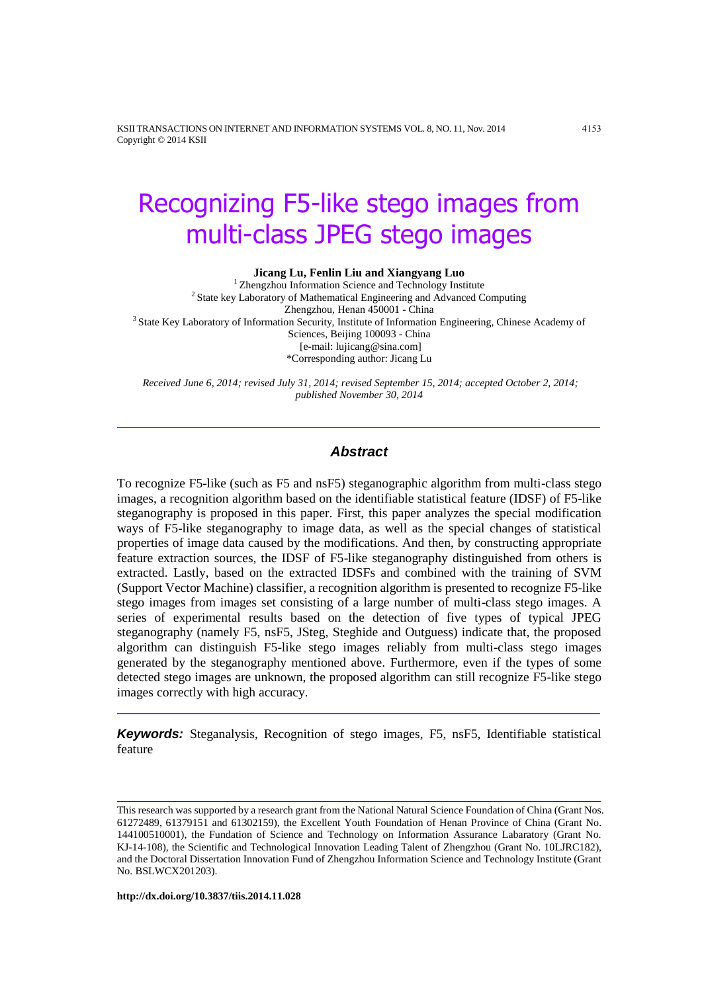KSII TRANSACTIONS ON INTERNET AND INFORMATION SYSTEMS VOL. 8, NO. 11, Nov. 2014 4153 Copyright © 2014 KSII

# Recognizing F5-like stego images from multi-class JPEG stego images

#### **Jicang Lu, Fenlin Liu and Xiangyang Luo**

<sup>1</sup> Zhengzhou Information Science and Technology Institute <sup>2</sup> State key Laboratory of Mathematical Engineering and Advanced Computing Zhengzhou, Henan 450001 - China <sup>3</sup> State Key Laboratory of Information Security, Institute of Information Engineering, Chinese Academy of Sciences, Beijing 100093 - China [e-mail: lujicang@sina.com] \*Corresponding author: Jicang Lu

*Received June 6, 2014; revised July 31, 2014; revised September 15, 2014; accepted October 2, 2014; published November 30, 2014*

## *Abstract*

To recognize F5-like (such as F5 and nsF5) steganographic algorithm from multi-class stego images, a recognition algorithm based on the identifiable statistical feature (IDSF) of F5-like steganography is proposed in this paper. First, this paper analyzes the special modification ways of F5-like steganography to image data, as well as the special changes of statistical properties of image data caused by the modifications. And then, by constructing appropriate feature extraction sources, the IDSF of F5-like steganography distinguished from others is extracted. Lastly, based on the extracted IDSFs and combined with the training of SVM (Support Vector Machine) classifier, a recognition algorithm is presented to recognize F5-like stego images from images set consisting of a large number of multi-class stego images. A series of experimental results based on the detection of five types of typical JPEG steganography (namely F5, nsF5, JSteg, Steghide and Outguess) indicate that, the proposed algorithm can distinguish F5-like stego images reliably from multi-class stego images generated by the steganography mentioned above. Furthermore, even if the types of some detected stego images are unknown, the proposed algorithm can still recognize F5-like stego images correctly with high accuracy.

*Keywords:* Steganalysis, Recognition of stego images, F5, nsF5, Identifiable statistical feature

**http://dx.doi.org/10.3837/tiis.2014.11.028**

This research was supported by a research grant from the National Natural Science Foundation of China (Grant Nos. 61272489, 61379151 and 61302159), the Excellent Youth Foundation of Henan Province of China (Grant No. 144100510001), the Fundation of Science and Technology on Information Assurance Labaratory (Grant No. KJ-14-108), the Scientific and Technological Innovation Leading Talent of Zhengzhou (Grant No. 10LJRC182), and the Doctoral Dissertation Innovation Fund of Zhengzhou Information Science and Technology Institute (Grant No. BSLWCX201203).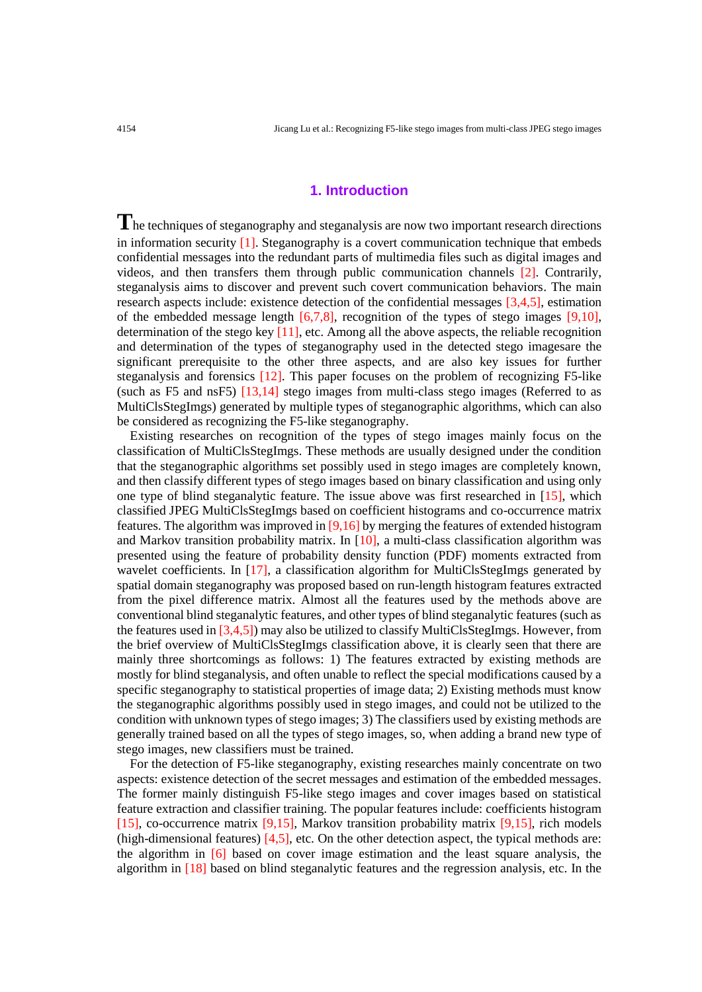## **1. Introduction**

**T**he techniques of steganography and steganalysis are now two important research directions in information security  $[1]$ . Steganography is a covert communication technique that embeds confidential messages into the redundant parts of multimedia files such as digital images and videos, and then transfers them through public communication channels [2]. Contrarily, steganalysis aims to discover and prevent such covert communication behaviors. The main research aspects include: existence detection of the confidential messages [3,4,5], estimation of the embedded message length  $[6,7,8]$ , recognition of the types of stego images  $[9,10]$ , determination of the stego key  $[11]$ , etc. Among all the above aspects, the reliable recognition and determination of the types of steganography used in the detected stego imagesare the significant prerequisite to the other three aspects, and are also key issues for further steganalysis and forensics [12]. This paper focuses on the problem of recognizing F5-like (such as F5 and nsF5) [13,14] stego images from multi-class stego images (Referred to as MultiClsStegImgs) generated by multiple types of steganographic algorithms, which can also be considered as recognizing the F5-like steganography.

Existing researches on recognition of the types of stego images mainly focus on the classification of MultiClsStegImgs. These methods are usually designed under the condition that the steganographic algorithms set possibly used in stego images are completely known, and then classify different types of stego images based on binary classification and using only one type of blind steganalytic feature. The issue above was first researched in [15], which classified JPEG MultiClsStegImgs based on coefficient histograms and co-occurrence matrix features. The algorithm was improved in [9,16] by merging the features of extended histogram and Markov transition probability matrix. In  $[10]$ , a multi-class classification algorithm was presented using the feature of probability density function (PDF) moments extracted from wavelet coefficients. In [17], a classification algorithm for MultiClsStegImgs generated by spatial domain steganography was proposed based on run-length histogram features extracted from the pixel difference matrix. Almost all the features used by the methods above are conventional blind steganalytic features, and other types of blind steganalytic features (such as the features used in [3,4,5]) may also be utilized to classify MultiClsStegImgs. However, from the brief overview of MultiClsStegImgs classification above, it is clearly seen that there are mainly three shortcomings as follows: 1) The features extracted by existing methods are mostly for blind steganalysis, and often unable to reflect the special modifications caused by a specific steganography to statistical properties of image data; 2) Existing methods must know the steganographic algorithms possibly used in stego images, and could not be utilized to the condition with unknown types of stego images; 3) The classifiers used by existing methods are generally trained based on all the types of stego images, so, when adding a brand new type of stego images, new classifiers must be trained.

For the detection of F5-like steganography, existing researches mainly concentrate on two aspects: existence detection of the secret messages and estimation of the embedded messages. The former mainly distinguish F5-like stego images and cover images based on statistical feature extraction and classifier training. The popular features include: coefficients histogram [15], co-occurrence matrix [9,15], Markov transition probability matrix [9,15], rich models (high-dimensional features) [4,5], etc. On the other detection aspect, the typical methods are: the algorithm in [6] based on cover image estimation and the least square analysis, the algorithm in [18] based on blind steganalytic features and the regression analysis, etc. In the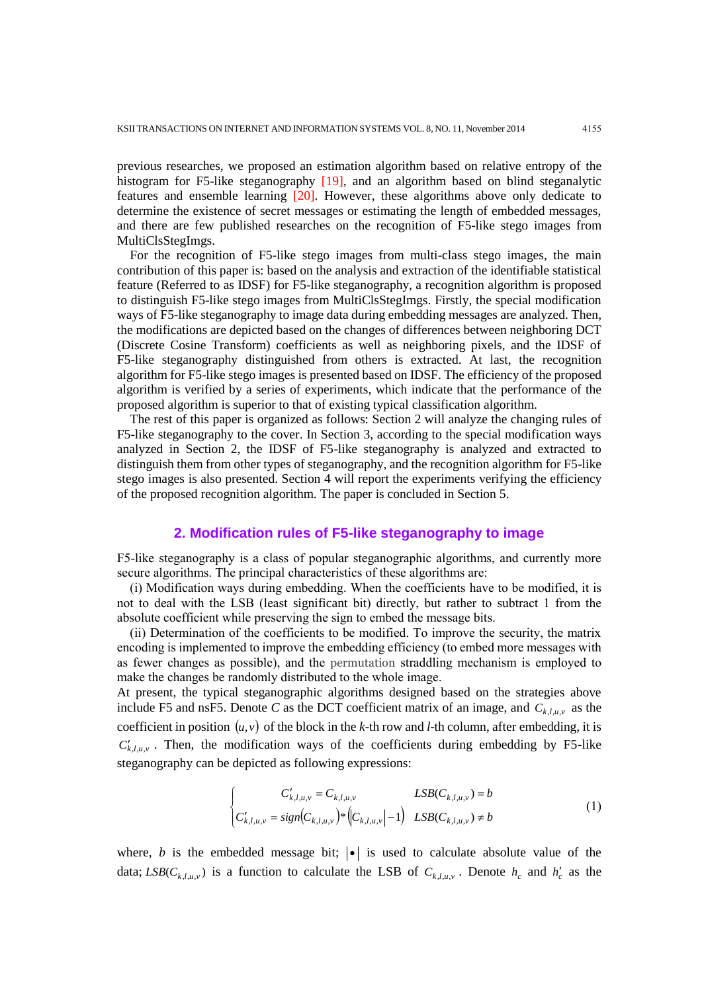previous researches, we proposed an estimation algorithm based on relative entropy of the histogram for F5-like steganography [19], and an algorithm based on blind steganalytic features and ensemble learning [20]. However, these algorithms above only dedicate to determine the existence of secret messages or estimating the length of embedded messages, and there are few published researches on the recognition of F5-like stego images from MultiClsStegImgs.

For the recognition of F5-like stego images from multi-class stego images, the main contribution of this paper is: based on the analysis and extraction of the identifiable statistical feature (Referred to as IDSF) for F5-like steganography, a recognition algorithm is proposed to distinguish F5-like stego images from MultiClsStegImgs. Firstly, the special modification ways of F5-like steganography to image data during embedding messages are analyzed. Then, the modifications are depicted based on the changes of differences between neighboring DCT (Discrete Cosine Transform) coefficients as well as neighboring pixels, and the IDSF of F5-like steganography distinguished from others is extracted. At last, the recognition algorithm for F5-like stego images is presented based on IDSF. The efficiency of the proposed algorithm is verified by a series of experiments, which indicate that the performance of the proposed algorithm is superior to that of existing typical classification algorithm.

The rest of this paper is organized as follows: Section 2 will analyze the changing rules of F5-like steganography to the cover. In Section 3, according to the special modification ways analyzed in Section 2, the IDSF of F5-like steganography is analyzed and extracted to distinguish them from other types of steganography, and the recognition algorithm for F5-like stego images is also presented. Section 4 will report the experiments verifying the efficiency of the proposed recognition algorithm. The paper is concluded in Section 5.

## **2. Modification rules of F5-like steganography to image**

F5-like steganography is a class of popular steganographic algorithms, and currently more secure algorithms. The principal characteristics of these algorithms are:

(i) Modification ways during embedding. When the coefficients have to be modified, it is not to deal with the LSB (least significant bit) directly, but rather to subtract 1 from the absolute coefficient while preserving the sign to embed the message bits.

(ii) Determination of the coefficients to be modified. To improve the security, the matrix encoding is implemented to improve the embedding efficiency (to embed more messages with as fewer changes as possible), and the permutation straddling mechanism is employed to make the changes be randomly distributed to the whole image.

At present, the typical steganographic algorithms designed based on the strategies above include F5 and nsF5. Denote C as the DCT coefficient matrix of an image, and  $C_{k,l,\mu,\nu}$  as the coefficient in position  $(u, v)$  of the block in the *k*-th row and *l*-th column, after embedding, it is  $C'_{k,l,u,v}$ . Then, the modification ways of the coefficients during embedding by F5-like steganography can be depicted as following expressions:

$$
\begin{cases}\nC'_{k,l,u,v} = C_{k,l,u,v} & LSB(C_{k,l,u,v}) = b \\
C'_{k,l,u,v} = sign(C_{k,l,u,v}) * (C_{k,l,u,v}|-1) & LSB(C_{k,l,u,v}) \neq b\n\end{cases}
$$
\n(1)

where, *b* is the embedded message bit;  $| \cdot |$  is used to calculate absolute value of the data;  $LSB(C_{k,l,u,v})$  is a function to calculate the LSB of  $C_{k,l,u,v}$ . Denote  $h_c$  and  $h_c'$  as the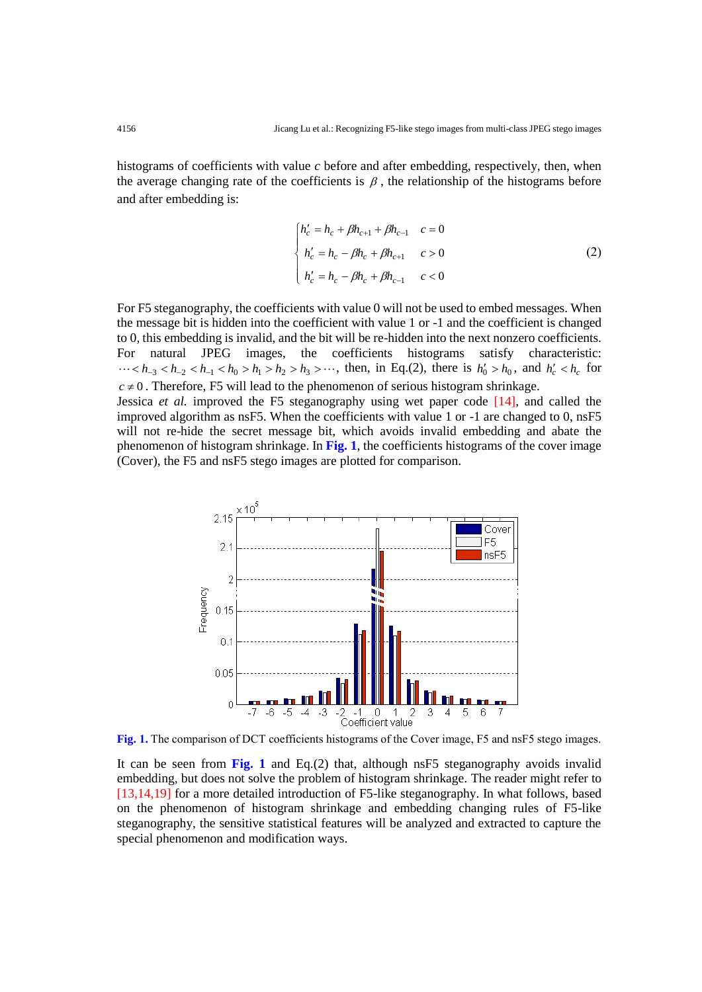histograms of coefficients with value *c* before and after embedding, respectively, then, when the average changing rate of the coefficients is  $\beta$ , the relationship of the histograms before and after embedding is:

$$
\begin{cases}\nh_c' = h_c + \beta h_{c+1} + \beta h_{c-1} & c = 0 \\
h_c' = h_c - \beta h_c + \beta h_{c+1} & c > 0 \\
h_c' = h_c - \beta h_c + \beta h_{c-1} & c < 0\n\end{cases}
$$
\n(2)

For F5 steganography, the coefficients with value 0 will not be used to embed messages. When the message bit is hidden into the coefficient with value 1 or -1 and the coefficient is changed to 0, this embedding is invalid, and the bit will be re-hidden into the next nonzero coefficients. For natural JPEG images, the coefficients histograms satisfy characteristic:  $\cdots < h_{-3} < h_{-2} < h_{-1} < h_0 > h_1 > h_2 > h_3 > \cdots$ , then, in Eq.(2), there is  $h'_0 > h_0$ , and  $h'_c < h_c$  for  $c \neq 0$ . Therefore, F5 will lead to the phenomenon of serious histogram shrinkage. Jessica *et al.* improved the F5 steganography using wet paper code [14], and called the improved algorithm as nsF5. When the coefficients with value 1 or -1 are changed to 0, nsF5 will not re-hide the secret message bit, which avoids invalid embedding and abate the

phenomenon of histogram shrinkage. In **Fig. 1**, the coefficients histograms of the cover image

(Cover), the F5 and nsF5 stego images are plotted for comparison.



**Fig. 1.** The comparison of DCT coefficients histograms of the Cover image, F5 and nsF5 stego images.

It can be seen from **Fig. 1** and Eq.(2) that, although nsF5 steganography avoids invalid embedding, but does not solve the problem of histogram shrinkage. The reader might refer to [13,14,19] for a more detailed introduction of F5-like steganography. In what follows, based on the phenomenon of histogram shrinkage and embedding changing rules of F5-like steganography, the sensitive statistical features will be analyzed and extracted to capture the special phenomenon and modification ways.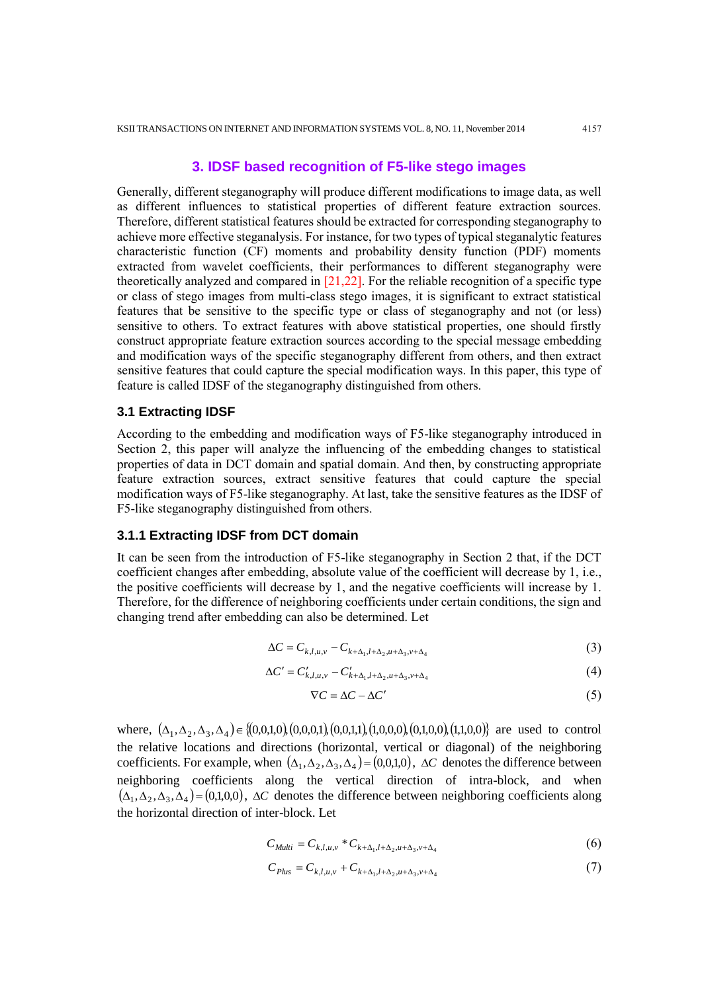# **3. IDSF based recognition of F5-like stego images**

Generally, different steganography will produce different modifications to image data, as well as different influences to statistical properties of different feature extraction sources. Therefore, different statistical features should be extracted for corresponding steganography to achieve more effective steganalysis. For instance, for two types of typical steganalytic features characteristic function (CF) moments and probability density function (PDF) moments extracted from wavelet coefficients, their performances to different steganography were theoretically analyzed and compared in [21,22]. For the reliable recognition of a specific type or class of stego images from multi-class stego images, it is significant to extract statistical features that be sensitive to the specific type or class of steganography and not (or less) sensitive to others. To extract features with above statistical properties, one should firstly construct appropriate feature extraction sources according to the special message embedding and modification ways of the specific steganography different from others, and then extract sensitive features that could capture the special modification ways. In this paper, this type of feature is called IDSF of the steganography distinguished from others.

## **3.1 Extracting IDSF**

According to the embedding and modification ways of F5-like steganography introduced in Section 2, this paper will analyze the influencing of the embedding changes to statistical properties of data in DCT domain and spatial domain. And then, by constructing appropriate feature extraction sources, extract sensitive features that could capture the special modification ways of F5-like steganography. At last, take the sensitive features as the IDSF of F5-like steganography distinguished from others.

# **3.1.1 Extracting IDSF from DCT domain**

It can be seen from the introduction of F5-like steganography in Section 2 that, if the DCT coefficient changes after embedding, absolute value of the coefficient will decrease by 1, i.e., the positive coefficients will decrease by 1, and the negative coefficients will increase by 1. Therefore, for the difference of neighboring coefficients under certain conditions, the sign and changing trend after embedding can also be determined. Let

$$
\Delta C = C_{k,l,u,v} - C_{k+\Delta_1,l+\Delta_2,u+\Delta_3,v+\Delta_4}
$$
 (3)

$$
\Delta C' = C'_{k,l,u,v} - C'_{k+\Delta_1,l+\Delta_2,u+\Delta_3,v+\Delta_4}
$$
\n(4)

$$
\nabla C = \Delta C - \Delta C' \tag{5}
$$

where,  $(\Delta_1, \Delta_2, \Delta_3, \Delta_4) \in \{(0,0,1,0), (0,0,0,1), (0,0,1,1), (1,0,0,0), (0,1,0,0,0), (1,1,0,0)\}$  are used to control the relative locations and directions (horizontal, vertical or diagonal) of the neighboring coefficients. For example, when  $(\Delta_1, \Delta_2, \Delta_3, \Delta_4) = (0,0,1,0)$ ,  $\Delta C$  denotes the difference between neighboring coefficients along the vertical direction of intra-block, and when  $(\Delta_1, \Delta_2, \Delta_3, \Delta_4)$  = (0,1,0,0),  $\Delta C$  denotes the difference between neighboring coefficients along the horizontal direction of inter-block. Let

$$
C_{Multi} = C_{k,l,u,v} * C_{k+\Delta_1,l+\Delta_2,u+\Delta_3,v+\Delta_4}
$$
 (6)

$$
C_{Plus} = C_{k,l,u,v} + C_{k+\Delta_1,l+\Delta_2,u+\Delta_3,v+\Delta_4}
$$
 (7)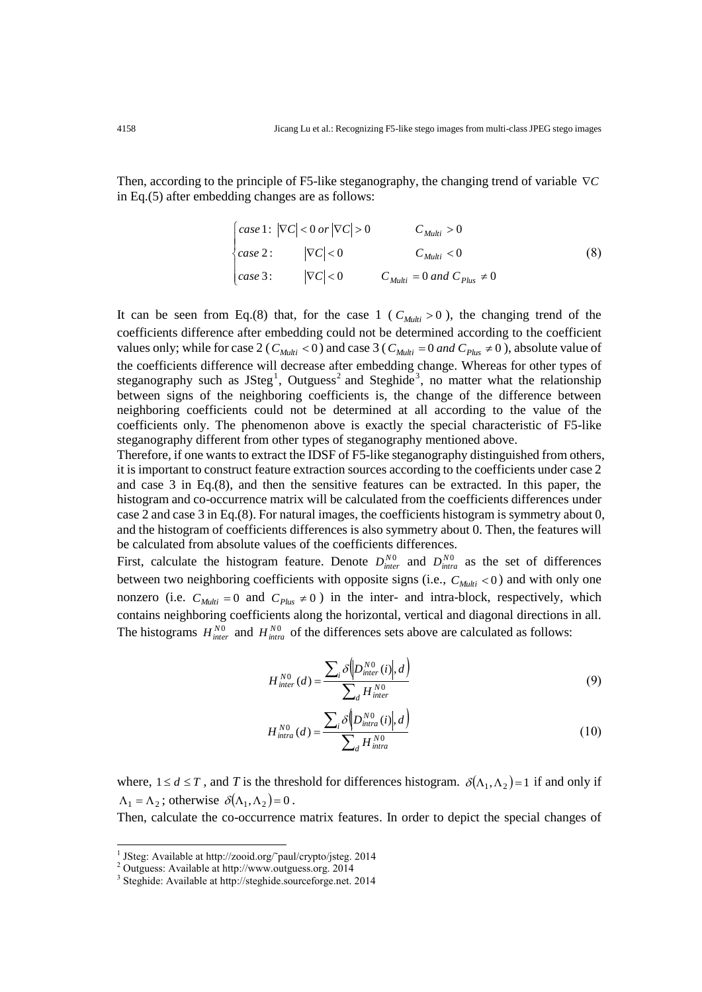Then, according to the principle of F5-like steganography, the changing trend of variable *C* in Eq.(5) after embedding changes are as follows:

$$
\begin{cases}\n\text{case 1: } |\nabla C| < 0 \text{ or } |\nabla C| > 0 \\
\text{case 2: } |V| < 0 < C_{Multi} < 0 \\
\text{case 3: } |\nabla C| < 0 < C_{Multi} = 0 \text{ and } C_{Plus} \neq 0\n\end{cases} \tag{8}
$$

It can be seen from Eq.(8) that, for the case  $1$  ( $C_{Multi} > 0$ ), the changing trend of the coefficients difference after embedding could not be determined according to the coefficient values only; while for case 2 ( $C_{Multi} < 0$ ) and case 3 ( $C_{Multi} = 0$  *and*  $C_{Plus} \neq 0$ ), absolute value of the coefficients difference will decrease after embedding change. Whereas for other types of steganography such as  $JSteg<sup>1</sup>$ , Outguess<sup>2</sup> and Steghide<sup>3</sup>, no matter what the relationship between signs of the neighboring coefficients is, the change of the difference between neighboring coefficients could not be determined at all according to the value of the coefficients only. The phenomenon above is exactly the special characteristic of F5-like steganography different from other types of steganography mentioned above.

Therefore, if one wants to extract the IDSF of F5-like steganography distinguished from others, it is important to construct feature extraction sources according to the coefficients under case 2 and case 3 in Eq.(8), and then the sensitive features can be extracted. In this paper, the histogram and co-occurrence matrix will be calculated from the coefficients differences under case 2 and case 3 in Eq.(8). For natural images, the coefficients histogram is symmetry about 0, and the histogram of coefficients differences is also symmetry about 0. Then, the features will be calculated from absolute values of the coefficients differences.

First, calculate the histogram feature. Denote  $D_{inter}^{N0}$  and  $D_{inter}^{N0}$  as the set of differences between two neighboring coefficients with opposite signs (i.e.,  $C_{\text{Multi}} < 0$ ) and with only one nonzero (i.e.  $C_{\text{Multi}} = 0$  and  $C_{\text{Plus}} \neq 0$ ) in the inter- and intra-block, respectively, which contains neighboring coefficients along the horizontal, vertical and diagonal directions in all. The histograms  $H_{inter}^{N0}$  and  $H_{intra}^{N0}$  of the differences sets above are calculated as follows:

$$
H_{inter}^{N0}(d) = \frac{\sum_{i} \delta\left(D_{inter}^{N0}(i)|, d\right)}{\sum_{d} H_{inter}^{N0}}
$$
\n(9)

$$
H_{intra}^{NO}(d) = \frac{\sum_{i} \delta \left( D_{intra}^{NO}(i) \right|, d \right)}{\sum_{d} H_{intra}^{NO}}
$$
\n(10)

where,  $1 \le d \le T$ , and *T* is the threshold for differences histogram.  $\delta(\Lambda_1, \Lambda_2) = 1$  if and only if  $\Lambda_1 = \Lambda_2$ ; otherwise  $\delta(\Lambda_1, \Lambda_2) = 0$ .

Then, calculate the co-occurrence matrix features. In order to depict the special changes of

-

<sup>&</sup>lt;sup>1</sup> JSteg: Available at http://zooid.org/~paul/crypto/jsteg. 2014

<sup>2</sup> Outguess: Available at http://www.outguess.org. 2014

<sup>3</sup> Steghide: Available at http://steghide.sourceforge.net. 2014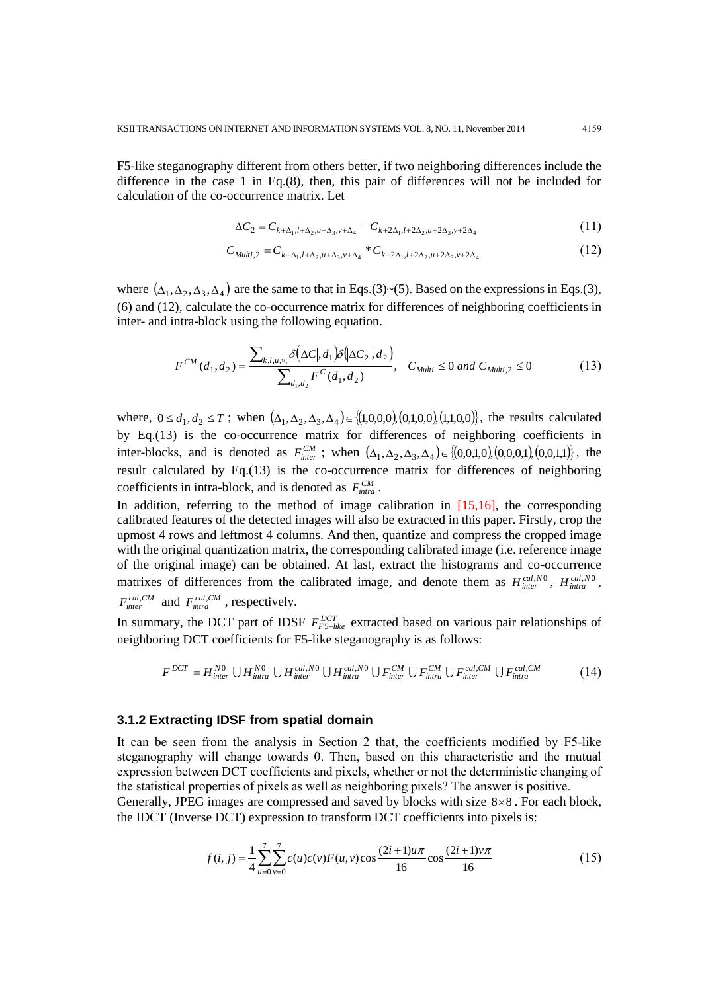F5-like steganography different from others better, if two neighboring differences include the difference in the case 1 in Eq.(8), then, this pair of differences will not be included for calculation of the co-occurrence matrix. Let

$$
\Delta C_2 = C_{k+\Delta_1, l+\Delta_2, u+\Delta_3, v+\Delta_4} - C_{k+2\Delta_1, l+2\Delta_2, u+2\Delta_3, v+2\Delta_4}
$$
\n(11)

$$
C_{Multi,2} = C_{k+\Delta_1,l+\Delta_2,u+\Delta_3,v+\Delta_4} * C_{k+2\Delta_1,l+2\Delta_2,u+2\Delta_3,v+2\Delta_4}
$$
\n(12)

where  $(\Delta_1, \Delta_2, \Delta_3, \Delta_4)$  are the same to that in Eqs.(3)~(5). Based on the expressions in Eqs.(3), (6) and (12), calculate the co-occurrence matrix for differences of neighboring coefficients in inter- and intra-block using the following equation.

$$
F^{CM}(d_1, d_2) = \frac{\sum_{k,l,u,v,} \delta(\vert \Delta C \vert, d_1) \delta(\vert \Delta C_2 \vert, d_2)}{\sum_{d_1, d_2} F^C(d_1, d_2)}, \quad C_{Multi} \le 0 \text{ and } C_{Multi,2} \le 0 \tag{13}
$$

where,  $0 \le d_1, d_2 \le T$ ; when  $(\Delta_1, \Delta_2, \Delta_3, \Delta_4) \in \{(1,0,0,0), (0,1,0,0), (1,1,0,0)\}$ , the results calculated by Eq.(13) is the co-occurrence matrix for differences of neighboring coefficients in inter-blocks, and is denoted as  $F_{inter}^{CM}$ ; when  $(\Delta_1, \Delta_2, \Delta_3, \Delta_4) \in \{(0,0,1,0), (0,0,0,1), (0,0,1,1)\}$ , the result calculated by Eq.(13) is the co-occurrence matrix for differences of neighboring coefficients in intra-block, and is denoted as  $F_{intra}^{CM}$ .

In addition, referring to the method of image calibration in [15,16], the corresponding calibrated features of the detected images will also be extracted in this paper. Firstly, crop the upmost 4 rows and leftmost 4 columns. And then, quantize and compress the cropped image with the original quantization matrix, the corresponding calibrated image (i.e. reference image of the original image) can be obtained. At last, extract the histograms and co-occurrence matrixes of differences from the calibrated image, and denote them as  $H_{inter}^{cal,N0}$ ,  $H_{intra}^{cal,N0}$ ,  $F_{inter}^{cal, CM}$  and  $F_{intra}^{cal, CM}$ , respectively.

In summary, the DCT part of IDSF  $F_{FS-like}^{DCT}$  extracted based on various pair relationships of neighboring DCT coefficients for F5-like steganography is as follows:

$$
F^{DCT} = H_{\text{inter}}^{N0} \cup H_{\text{intra}}^{N0} \cup H_{\text{inter}}^{cal,N0} \cup H_{\text{intra}}^{cal,N0} \cup F_{\text{intra}}^{CM} \cup F_{\text{intra}}^{CM} \cup F_{\text{intra}}^{cal,CM} \cup F_{\text{intra}}^{cal,CM}
$$
(14)

#### **3.1.2 Extracting IDSF from spatial domain**

It can be seen from the analysis in Section 2 that, the coefficients modified by F5-like steganography will change towards 0. Then, based on this characteristic and the mutual expression between DCT coefficients and pixels, whether or not the deterministic changing of the statistical properties of pixels as well as neighboring pixels? The answer is positive.

Generally, JPEG images are compressed and saved by blocks with size  $8 \times 8$ . For each block, the IDCT (Inverse DCT) expression to transform DCT coefficients into pixels is:

$$
f(i, j) = \frac{1}{4} \sum_{u=0}^{7} \sum_{v=0}^{7} c(u)c(v)F(u, v)\cos\frac{(2i+1)u\pi}{16}\cos\frac{(2i+1)v\pi}{16}
$$
 (15)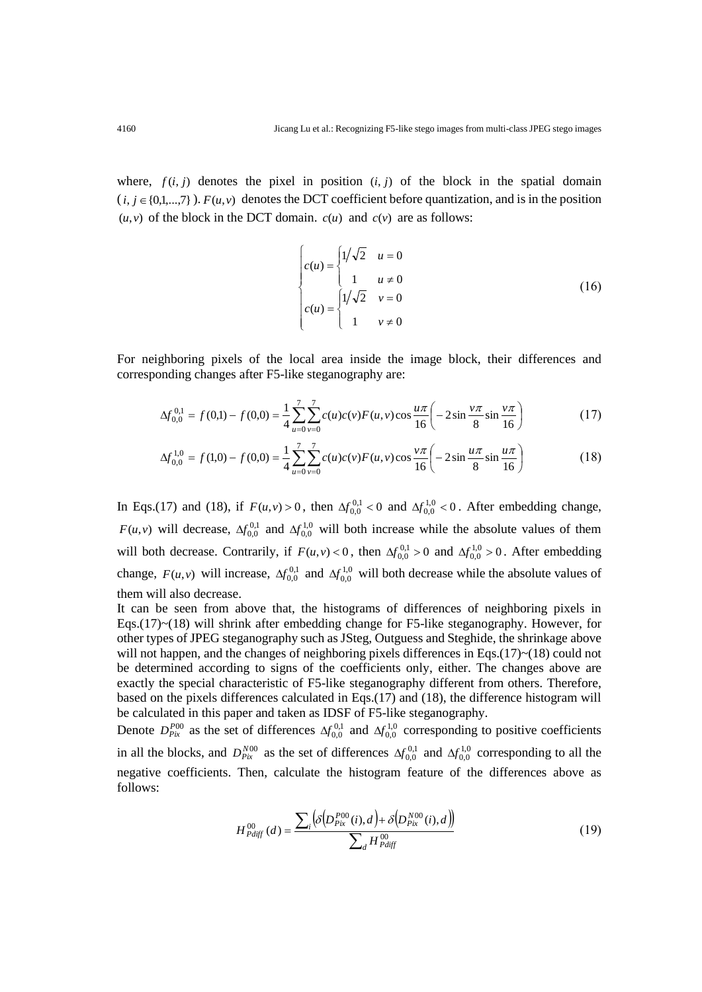where,  $f(i, j)$  denotes the pixel in position  $(i, j)$  of the block in the spatial domain  $(i, j \in \{0,1,...,7\})$ .  $F(u, v)$  denotes the DCT coefficient before quantization, and is in the position  $(u, v)$  of the block in the DCT domain.  $c(u)$  and  $c(v)$  are as follows:

$$
\begin{cases}\nc(u) = \begin{cases}\n1/\sqrt{2} & u = 0 \\
1 & u \neq 0\n\end{cases} \\
c(u) = \begin{cases}\n1/\sqrt{2} & v = 0 \\
1 & v \neq 0\n\end{cases}
$$
\n(16)

For neighboring pixels of the local area inside the image block, their differences and corresponding changes after F5-like steganography are:

$$
\Delta f_{0,0}^{0,1} = f(0,1) - f(0,0) = \frac{1}{4} \sum_{u=0}^{7} \sum_{v=0}^{7} c(u)c(v)F(u,v)\cos\frac{u\pi}{16} \left(-2\sin\frac{v\pi}{8}\sin\frac{v\pi}{16}\right)
$$
(17)

$$
\Delta f_{0,0}^{1,0} = f(1,0) - f(0,0) = \frac{1}{4} \sum_{u=0}^{7} \sum_{v=0}^{7} c(u)c(v)F(u,v)\cos\frac{v\pi}{16} \left(-2\sin\frac{u\pi}{8}\sin\frac{u\pi}{16}\right)
$$
(18)

In Eqs.(17) and (18), if  $F(u, v) > 0$ , then  $\Delta f_{0,0}^{0,1} < 0$  and  $\Delta f_{0,0}^{1,0} < 0$ . After embedding change,  $F(u, v)$  will decrease,  $\Delta f_{0,0}^{0,1}$  and  $\Delta f_{0,0}^{1,0}$  will both increase while the absolute values of them will both decrease. Contrarily, if  $F(u, v) < 0$ , then  $\Delta f_{0,0}^{0,1} > 0$  and  $\Delta f_{0,0}^{1,0} > 0$ . After embedding change,  $F(u, v)$  will increase,  $\Delta f_{0,0}^{0,1}$  and  $\Delta f_{0,0}^{1,0}$  will both decrease while the absolute values of them will also decrease.

It can be seen from above that, the histograms of differences of neighboring pixels in Eqs. $(17)$   $\sim$  (18) will shrink after embedding change for F5-like steganography. However, for other types of JPEG steganography such as JSteg, Outguess and Steghide, the shrinkage above will not happen, and the changes of neighboring pixels differences in Eqs.(17) $\sim$ (18) could not be determined according to signs of the coefficients only, either. The changes above are exactly the special characteristic of F5-like steganography different from others. Therefore, based on the pixels differences calculated in Eqs.(17) and (18), the difference histogram will be calculated in this paper and taken as IDSF of F5-like steganography.

Denote  $D_{\text{Fix}}^{P00}$  as the set of differences  $\Delta f_{0,0}^{0,1}$  and  $\Delta f_{0,0}^{1,0}$  corresponding to positive coefficients in all the blocks, and  $D_{pix}^{N00}$  as the set of differences  $\Delta f_{0,0}^{0,1}$  and  $\Delta f_{0,0}^{1,0}$  corresponding to all the negative coefficients. Then, calculate the histogram feature of the differences above as follows:

$$
H_{Pdiff}^{00}(d) = \frac{\sum_{i} \left( \delta \left( D_{Pix}^{P00}(i), d \right) + \delta \left( D_{Pix}^{N00}(i), d \right) \right)}{\sum_{d} H_{Pdiff}^{00}} \tag{19}
$$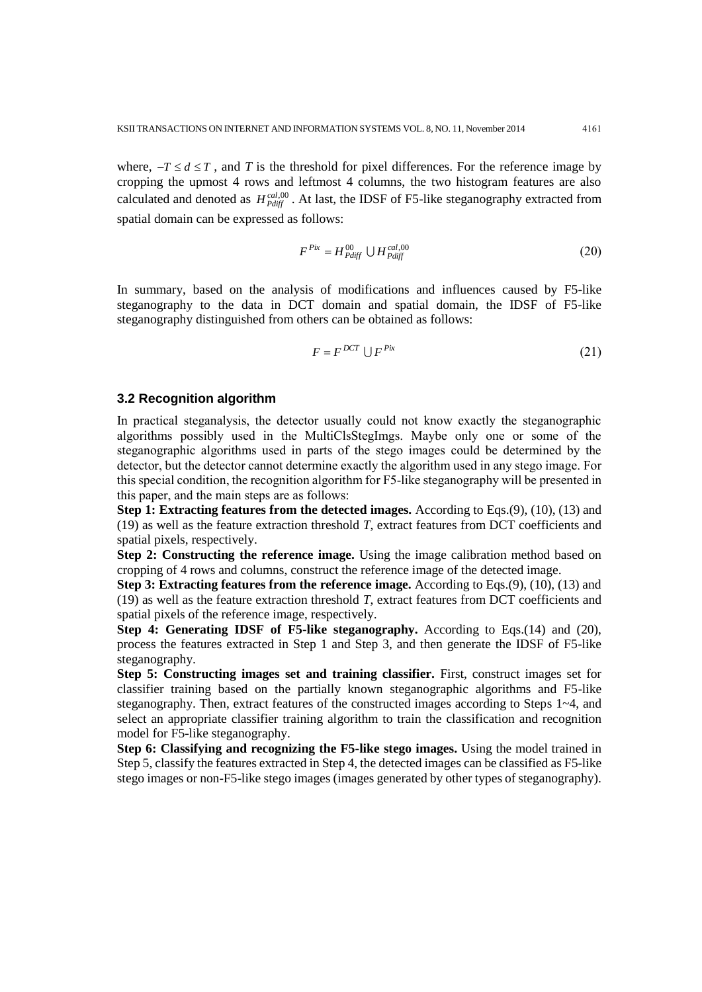where,  $-T \le d \le T$ , and *T* is the threshold for pixel differences. For the reference image by cropping the upmost 4 rows and leftmost 4 columns, the two histogram features are also calculated and denoted as  $H_{Pdiff}^{cal,00}$ . At last, the IDSF of F5-like steganography extracted from spatial domain can be expressed as follows:

$$
F^{Pix} = H^{00}_{Pdiff} \cup H^{cal,00}_{Pdiff} \tag{20}
$$

In summary, based on the analysis of modifications and influences caused by F5-like steganography to the data in DCT domain and spatial domain, the IDSF of F5-like steganography distinguished from others can be obtained as follows:

$$
F = F^{DCT} \cup F^{Pix} \tag{21}
$$

# **3.2 Recognition algorithm**

In practical steganalysis, the detector usually could not know exactly the steganographic algorithms possibly used in the MultiClsStegImgs. Maybe only one or some of the steganographic algorithms used in parts of the stego images could be determined by the detector, but the detector cannot determine exactly the algorithm used in any stego image. For this special condition, the recognition algorithm for F5-like steganography will be presented in this paper, and the main steps are as follows:

**Step 1: Extracting features from the detected images.** According to Eqs.(9), (10), (13) and (19) as well as the feature extraction threshold *T*, extract features from DCT coefficients and spatial pixels, respectively.

**Step 2: Constructing the reference image.** Using the image calibration method based on cropping of 4 rows and columns, construct the reference image of the detected image.

**Step 3: Extracting features from the reference image.** According to Eqs.(9), (10), (13) and (19) as well as the feature extraction threshold *T*, extract features from DCT coefficients and spatial pixels of the reference image, respectively.

**Step 4: Generating IDSF of F5-like steganography.** According to Eqs.(14) and (20), process the features extracted in Step 1 and Step 3, and then generate the IDSF of F5-like steganography.

**Step 5: Constructing images set and training classifier.** First, construct images set for classifier training based on the partially known steganographic algorithms and F5-like steganography. Then, extract features of the constructed images according to Steps  $1\n\neg 4$ , and select an appropriate classifier training algorithm to train the classification and recognition model for F5-like steganography.

**Step 6: Classifying and recognizing the F5-like stego images.** Using the model trained in Step 5, classify the features extracted in Step 4, the detected images can be classified as F5-like stego images or non-F5-like stego images (images generated by other types of steganography).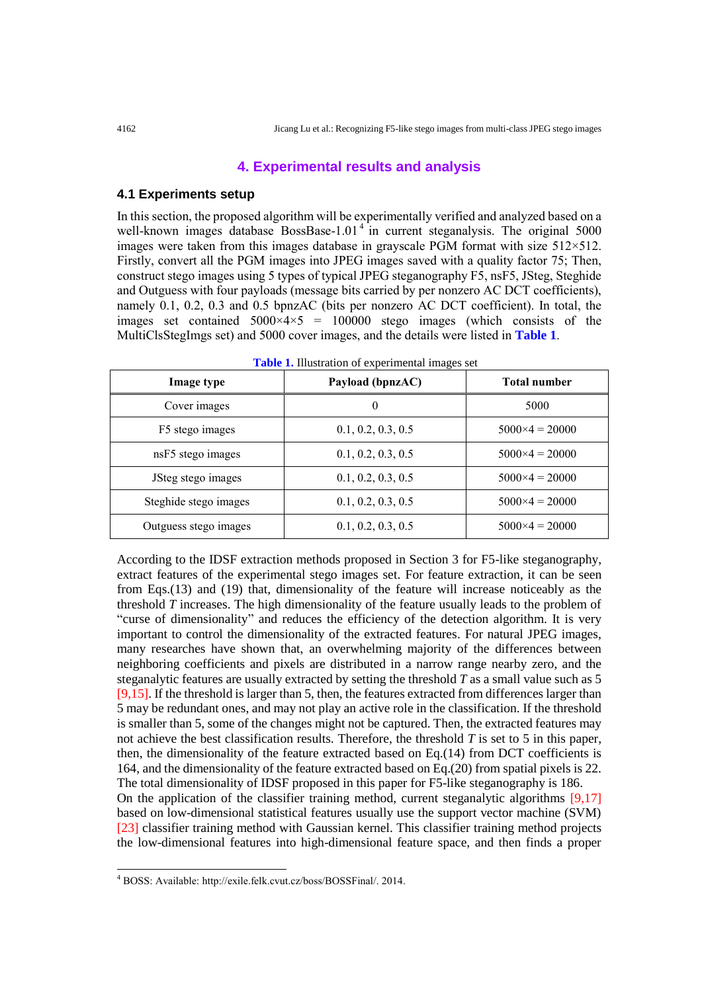## **4. Experimental results and analysis**

## **4.1 Experiments setup**

In this section, the proposed algorithm will be experimentally verified and analyzed based on a well-known images database BossBase-1.01<sup>4</sup> in current steganalysis. The original  $5000$ images were taken from this images database in grayscale PGM format with size 512×512. Firstly, convert all the PGM images into JPEG images saved with a quality factor 75; Then, construct stego images using 5 types of typical JPEG steganography F5, nsF5, JSteg, Steghide and Outguess with four payloads (message bits carried by per nonzero AC DCT coefficients), namely 0.1, 0.2, 0.3 and 0.5 bpnzAC (bits per nonzero AC DCT coefficient). In total, the images set contained  $5000 \times 4 \times 5 = 100000$  stego images (which consists of the MultiClsStegImgs set) and 5000 cover images, and the details were listed in **Table 1**.

| Image type            | Payload (bpnzAC)   | Total number            |
|-----------------------|--------------------|-------------------------|
| Cover images          | $\theta$           | 5000                    |
| F5 stego images       | 0.1, 0.2, 0.3, 0.5 | $5000 \times 4 = 20000$ |
| nsF5 stego images     | 0.1, 0.2, 0.3, 0.5 | $5000 \times 4 = 20000$ |
| JSteg stego images    | 0.1, 0.2, 0.3, 0.5 | $5000 \times 4 = 20000$ |
| Steghide stego images | 0.1, 0.2, 0.3, 0.5 | $5000 \times 4 = 20000$ |
| Outguess stego images | 0.1, 0.2, 0.3, 0.5 | $5000 \times 4 = 20000$ |

**Table 1.** Illustration of experimental images set

According to the IDSF extraction methods proposed in Section 3 for F5-like steganography, extract features of the experimental stego images set. For feature extraction, it can be seen from Eqs.(13) and (19) that, dimensionality of the feature will increase noticeably as the threshold *T* increases. The high dimensionality of the feature usually leads to the problem of "curse of dimensionality" and reduces the efficiency of the detection algorithm. It is very important to control the dimensionality of the extracted features. For natural JPEG images, many researches have shown that, an overwhelming majority of the differences between neighboring coefficients and pixels are distributed in a narrow range nearby zero, and the steganalytic features are usually extracted by setting the threshold *T* as a small value such as 5 [9,15]. If the threshold is larger than 5, then, the features extracted from differences larger than 5 may be redundant ones, and may not play an active role in the classification. If the threshold is smaller than 5, some of the changes might not be captured. Then, the extracted features may not achieve the best classification results. Therefore, the threshold *T* is set to 5 in this paper, then, the dimensionality of the feature extracted based on Eq.(14) from DCT coefficients is 164, and the dimensionality of the feature extracted based on Eq.(20) from spatial pixels is 22. The total dimensionality of IDSF proposed in this paper for F5-like steganography is 186. On the application of the classifier training method, current steganalytic algorithms [9,17] based on low-dimensional statistical features usually use the support vector machine (SVM) [23] classifier training method with Gaussian kernel. This classifier training method projects the low-dimensional features into high-dimensional feature space, and then finds a proper

-

<sup>4</sup> BOSS: Available: http://exile.felk.cvut.cz/boss/BOSSFinal/. 2014.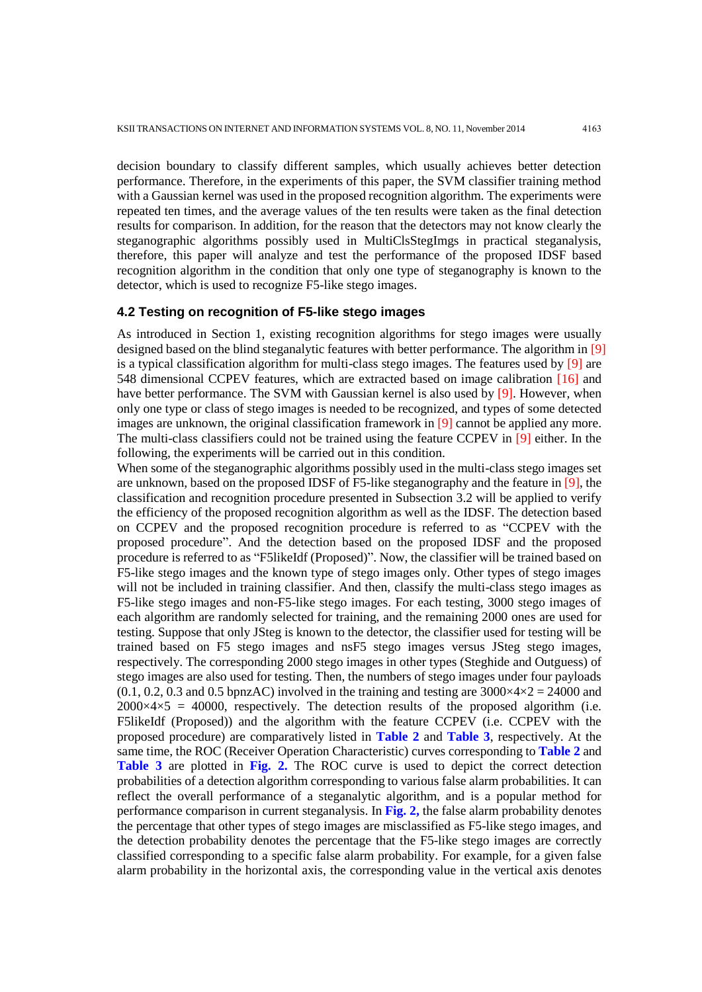decision boundary to classify different samples, which usually achieves better detection performance. Therefore, in the experiments of this paper, the SVM classifier training method with a Gaussian kernel was used in the proposed recognition algorithm. The experiments were repeated ten times, and the average values of the ten results were taken as the final detection results for comparison. In addition, for the reason that the detectors may not know clearly the steganographic algorithms possibly used in MultiClsStegImgs in practical steganalysis, therefore, this paper will analyze and test the performance of the proposed IDSF based recognition algorithm in the condition that only one type of steganography is known to the detector, which is used to recognize F5-like stego images.

## **4.2 Testing on recognition of F5-like stego images**

As introduced in Section 1, existing recognition algorithms for stego images were usually designed based on the blind steganalytic features with better performance. The algorithm in [9] is a typical classification algorithm for multi-class stego images. The features used by  $[9]$  are 548 dimensional CCPEV features, which are extracted based on image calibration [16] and have better performance. The SVM with Gaussian kernel is also used by [9]. However, when only one type or class of stego images is needed to be recognized, and types of some detected images are unknown, the original classification framework in [9] cannot be applied any more. The multi-class classifiers could not be trained using the feature CCPEV in [9] either. In the following, the experiments will be carried out in this condition.

When some of the steganographic algorithms possibly used in the multi-class stego images set are unknown, based on the proposed IDSF of F5-like steganography and the feature in [9], the classification and recognition procedure presented in Subsection 3.2 will be applied to verify the efficiency of the proposed recognition algorithm as well as the IDSF. The detection based on CCPEV and the proposed recognition procedure is referred to as "CCPEV with the proposed procedure". And the detection based on the proposed IDSF and the proposed procedure is referred to as "F5likeIdf (Proposed)". Now, the classifier will be trained based on F5-like stego images and the known type of stego images only. Other types of stego images will not be included in training classifier. And then, classify the multi-class stego images as F5-like stego images and non-F5-like stego images. For each testing, 3000 stego images of each algorithm are randomly selected for training, and the remaining 2000 ones are used for testing. Suppose that only JSteg is known to the detector, the classifier used for testing will be trained based on F5 stego images and nsF5 stego images versus JSteg stego images, respectively. The corresponding 2000 stego images in other types (Steghide and Outguess) of stego images are also used for testing. Then, the numbers of stego images under four payloads  $(0.1, 0.2, 0.3 \text{ and } 0.5 \text{ bpnzAC})$  involved in the training and testing are  $3000 \times 4 \times 2 = 24000$  and  $2000 \times 4 \times 5 = 40000$ , respectively. The detection results of the proposed algorithm (i.e. F5likeIdf (Proposed)) and the algorithm with the feature CCPEV (i.e. CCPEV with the proposed procedure) are comparatively listed in **Table 2** and **Table 3**, respectively. At the same time, the ROC (Receiver Operation Characteristic) curves corresponding to **Table 2** and **Table 3** are plotted in **Fig. 2.** The ROC curve is used to depict the correct detection probabilities of a detection algorithm corresponding to various false alarm probabilities. It can reflect the overall performance of a steganalytic algorithm, and is a popular method for performance comparison in current steganalysis. In **Fig. 2,** the false alarm probability denotes the percentage that other types of stego images are misclassified as F5-like stego images, and the detection probability denotes the percentage that the F5-like stego images are correctly classified corresponding to a specific false alarm probability. For example, for a given false alarm probability in the horizontal axis, the corresponding value in the vertical axis denotes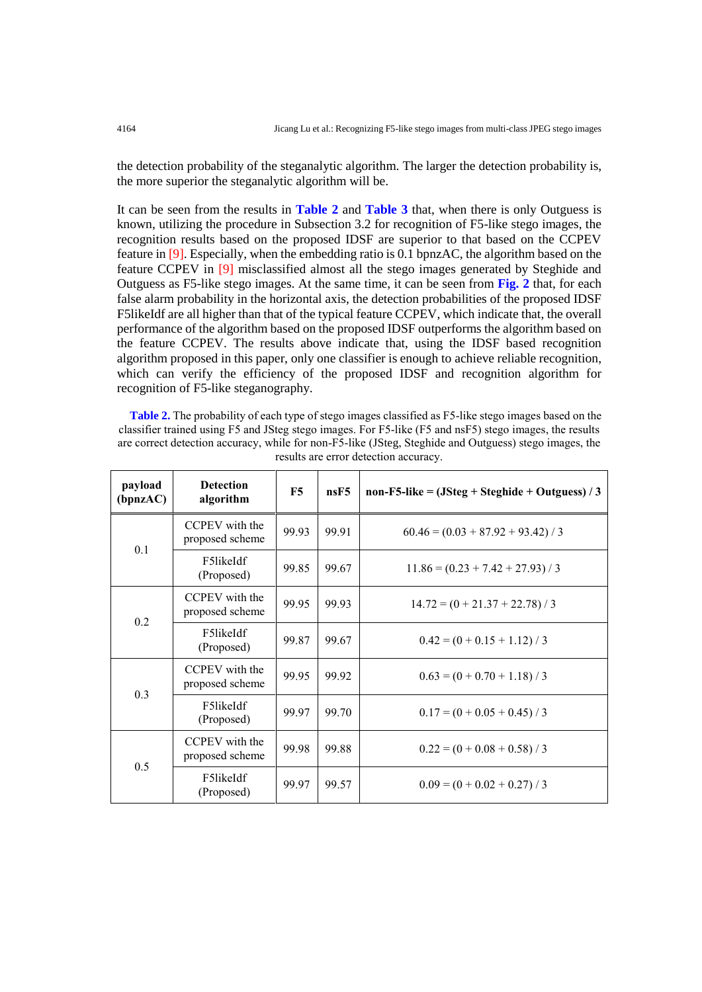the detection probability of the steganalytic algorithm. The larger the detection probability is, the more superior the steganalytic algorithm will be.

It can be seen from the results in **Table 2** and **Table 3** that, when there is only Outguess is known, utilizing the procedure in Subsection 3.2 for recognition of F5-like stego images, the recognition results based on the proposed IDSF are superior to that based on the CCPEV feature in [9]. Especially, when the embedding ratio is 0.1 bpnzAC, the algorithm based on the feature CCPEV in [9] misclassified almost all the stego images generated by Steghide and Outguess as F5-like stego images. At the same time, it can be seen from **Fig. 2** that, for each false alarm probability in the horizontal axis, the detection probabilities of the proposed IDSF F5likeIdf are all higher than that of the typical feature CCPEV, which indicate that, the overall performance of the algorithm based on the proposed IDSF outperforms the algorithm based on the feature CCPEV. The results above indicate that, using the IDSF based recognition algorithm proposed in this paper, only one classifier is enough to achieve reliable recognition, which can verify the efficiency of the proposed IDSF and recognition algorithm for recognition of F5-like steganography.

**Table 2.** The probability of each type of stego images classified as F5-like stego images based on the classifier trained using F5 and JSteg stego images. For F5-like (F5 and nsF5) stego images, the results are correct detection accuracy, while for non-F5-like (JSteg, Steghide and Outguess) stego images, the results are error detection accuracy.

| payload<br>(bpnzAC) | <b>Detection</b><br>algorithm     | F5    | nsF5  | non-F5-like = $(JStep + Steghide + Outguess) / 3$ |
|---------------------|-----------------------------------|-------|-------|---------------------------------------------------|
| 0.1                 | CCPEV with the<br>proposed scheme | 99.93 | 99.91 | $60.46 = (0.03 + 87.92 + 93.42) / 3$              |
|                     | F5likeIdf<br>(Proposed)           | 99.85 | 99.67 | $11.86 = (0.23 + 7.42 + 27.93) / 3$               |
| 0.2                 | CCPEV with the<br>proposed scheme | 99.95 | 99.93 | $14.72 = (0 + 21.37 + 22.78) / 3$                 |
|                     | F5likeIdf<br>(Proposed)           | 99.87 | 99.67 | $0.42 = (0 + 0.15 + 1.12) / 3$                    |
| 0.3                 | CCPEV with the<br>proposed scheme | 99.95 | 99.92 | $0.63 = (0 + 0.70 + 1.18) / 3$                    |
|                     | F5likeIdf<br>(Proposed)           | 99.97 | 99.70 | $0.17 = (0 + 0.05 + 0.45) / 3$                    |
| 0.5                 | CCPEV with the<br>proposed scheme | 99.98 | 99.88 | $0.22 = (0 + 0.08 + 0.58) / 3$                    |
|                     | F5likeIdf<br>(Proposed)           | 99.97 | 99.57 | $0.09 = (0 + 0.02 + 0.27)/3$                      |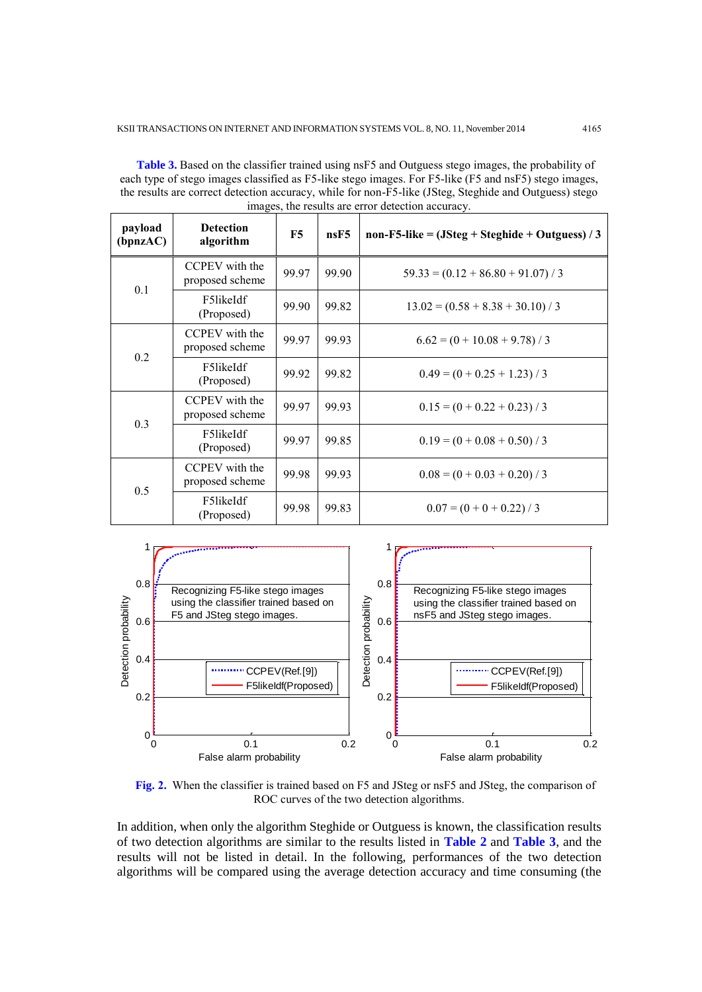**Table 3.** Based on the classifier trained using nsF5 and Outguess stego images, the probability of each type of stego images classified as F5-like stego images. For F5-like (F5 and nsF5) stego images, the results are correct detection accuracy, while for non-F5-like (JSteg, Steghide and Outguess) stego images, the results are error detection accuracy.

| payload<br>(bpnzAC) | <b>Detection</b><br>algorithm     | F5    | nsF5  | non-F5-like = $(JStep + Steghide + Outguess) / 3$ |
|---------------------|-----------------------------------|-------|-------|---------------------------------------------------|
| 0.1                 | CCPEV with the<br>proposed scheme | 99.97 | 99.90 | $59.33 = (0.12 + 86.80 + 91.07)/3$                |
|                     | F5likeIdf<br>(Proposed)           | 99.90 | 99.82 | $13.02 = (0.58 + 8.38 + 30.10) / 3$               |
|                     | CCPEV with the<br>proposed scheme | 99.97 | 99.93 | $6.62 = (0 + 10.08 + 9.78) / 3$                   |
| 0.2                 | F5likeIdf<br>(Proposed)           | 99.92 | 99.82 | $0.49 = (0 + 0.25 + 1.23) / 3$                    |
| 0.3                 | CCPEV with the<br>proposed scheme | 99.97 | 99.93 | $0.15 = (0 + 0.22 + 0.23) / 3$                    |
|                     | F5likeIdf<br>(Proposed)           | 99.97 | 99.85 | $0.19 = (0 + 0.08 + 0.50) / 3$                    |
| 0.5                 | CCPEV with the<br>proposed scheme | 99.98 | 99.93 | $0.08 = (0 + 0.03 + 0.20) / 3$                    |
|                     | F5likeIdf<br>(Proposed)           | 99.98 | 99.83 | $0.07 = (0 + 0 + 0.22) / 3$                       |



**Fig. 2.** When the classifier is trained based on F5 and JSteg or nsF5 and JSteg, the comparison of ROC curves of the two detection algorithms.

In addition, when only the algorithm Steghide or Outguess is known, the classification results of two detection algorithms are similar to the results listed in **Table 2** and **Table 3**, and the results will not be listed in detail. In the following, performances of the two detection algorithms will be compared using the average detection accuracy and time consuming (the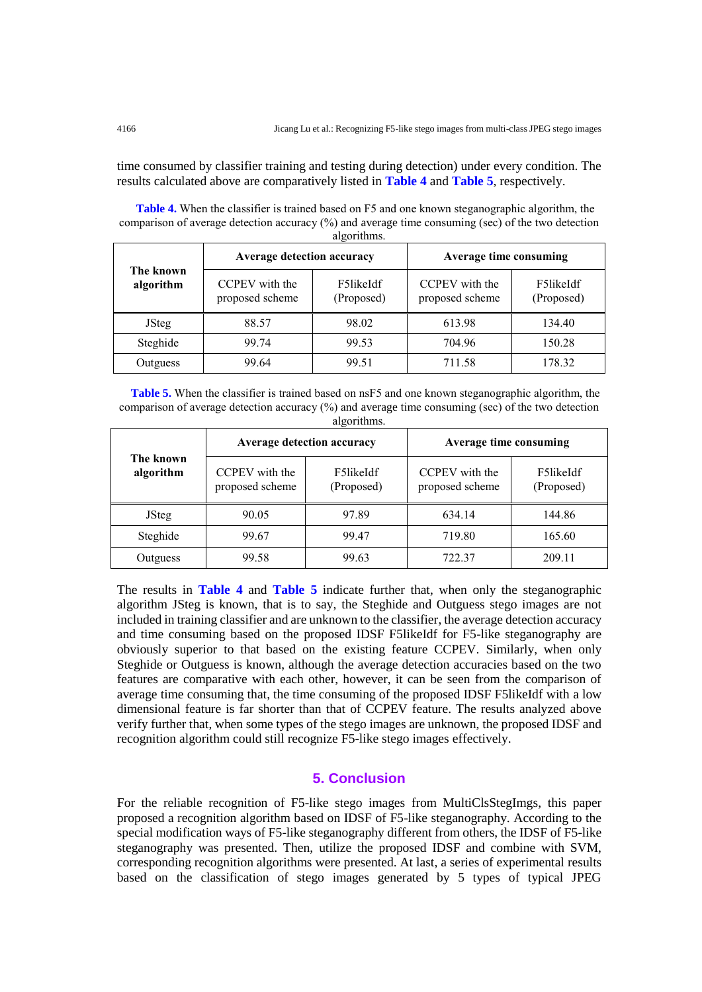time consumed by classifier training and testing during detection) under every condition. The results calculated above are comparatively listed in **Table 4** and **Table 5**, respectively.

**Table 4.** When the classifier is trained based on F5 and one known steganographic algorithm, the comparison of average detection accuracy (%) and average time consuming (sec) of the two detection algorithms.

| The known<br>algorithm | <b>Average detection accuracy</b> |                         | Average time consuming            |                         |  |
|------------------------|-----------------------------------|-------------------------|-----------------------------------|-------------------------|--|
|                        | CCPEV with the<br>proposed scheme | F5likeIdf<br>(Proposed) | CCPEV with the<br>proposed scheme | F5likeIdf<br>(Proposed) |  |
| <b>J</b> Steg          | 88.57                             | 98.02                   | 613.98                            | 134.40                  |  |
| Steghide               | 99.74                             | 99.53                   | 704.96                            | 150.28                  |  |
| Outguess               | 99.64                             | 99.51                   | 711.58                            | 178.32                  |  |

**Table 5.** When the classifier is trained based on nsF5 and one known steganographic algorithm, the comparison of average detection accuracy (%) and average time consuming (sec) of the two detection algorithms

| $m_{\eta}$             |                                   |                                   |                                   |                         |  |
|------------------------|-----------------------------------|-----------------------------------|-----------------------------------|-------------------------|--|
| The known<br>algorithm |                                   | <b>Average detection accuracy</b> | Average time consuming            |                         |  |
|                        | CCPEV with the<br>proposed scheme | F5likeIdf<br>(Proposed)           | CCPEV with the<br>proposed scheme | F5likeIdf<br>(Proposed) |  |
| <b>J</b> Steg          | 90.05                             | 97.89                             | 634.14                            | 144.86                  |  |
| Steghide               | 99.67                             | 99.47                             | 719.80                            | 165.60                  |  |
| Outguess               | 99.58                             | 99.63                             | 722.37                            | 209.11                  |  |

The results in **Table 4** and **Table 5** indicate further that, when only the steganographic algorithm JSteg is known, that is to say, the Steghide and Outguess stego images are not included in training classifier and are unknown to the classifier, the average detection accuracy and time consuming based on the proposed IDSF F5likeIdf for F5-like steganography are obviously superior to that based on the existing feature CCPEV. Similarly, when only Steghide or Outguess is known, although the average detection accuracies based on the two features are comparative with each other, however, it can be seen from the comparison of average time consuming that, the time consuming of the proposed IDSF F5likeIdf with a low dimensional feature is far shorter than that of CCPEV feature. The results analyzed above verify further that, when some types of the stego images are unknown, the proposed IDSF and recognition algorithm could still recognize F5-like stego images effectively.

# **5. Conclusion**

For the reliable recognition of F5-like stego images from MultiClsStegImgs, this paper proposed a recognition algorithm based on IDSF of F5-like steganography. According to the special modification ways of F5-like steganography different from others, the IDSF of F5-like steganography was presented. Then, utilize the proposed IDSF and combine with SVM, corresponding recognition algorithms were presented. At last, a series of experimental results based on the classification of stego images generated by 5 types of typical JPEG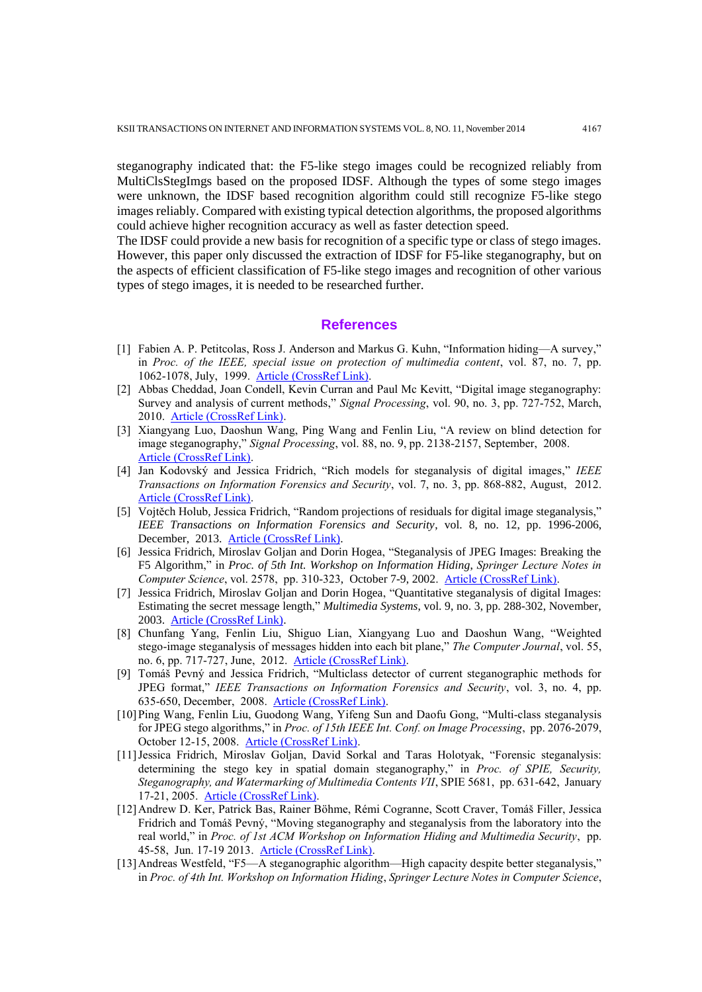steganography indicated that: the F5-like stego images could be recognized reliably from MultiClsStegImgs based on the proposed IDSF. Although the types of some stego images were unknown, the IDSF based recognition algorithm could still recognize F5-like stego images reliably. Compared with existing typical detection algorithms, the proposed algorithms could achieve higher recognition accuracy as well as faster detection speed.

The IDSF could provide a new basis for recognition of a specific type or class of stego images. However, this paper only discussed the extraction of IDSF for F5-like steganography, but on the aspects of efficient classification of F5-like stego images and recognition of other various types of stego images, it is needed to be researched further.

## **References**

- [1] Fabien A. P. Petitcolas, Ross J. Anderson and Markus G. Kuhn, "Information hiding—A survey," in *Proc. of the IEEE, special issue on protection of multimedia content*, vol. 87, no. 7, pp. 1062-1078, July, 1999. [Article \(CrossRef Link\).](http://dx.doi.org/doi:10.1109/5.771065)
- [2] Abbas Cheddad, Joan Condell, Kevin Curran and Paul Mc Kevitt, "Digital image steganography: Survey and analysis of current methods," *Signal Processing*, vol. 90, no. 3, pp. 727-752, March, 2010. [Article \(CrossRef Link\).](http://dx.doi.org/doi:10.1016/j.sigpro.2009.08.010)
- [3] Xiangyang Luo, Daoshun Wang, Ping Wang and Fenlin Liu, "A review on blind detection for image steganography," *Signal Processing*, vol. 88, no. 9, pp. 2138-2157, September, 2008. [Article \(CrossRef Link\).](http://dx.doi.org/doi:10.1016/j.sigpro.2008.03.016)
- [4] Jan Kodovský and Jessica Fridrich, "Rich models for steganalysis of digital images," *IEEE Transactions on Information Forensics and Security*, vol. 7, no. 3, pp. 868-882, August, 2012. [Article \(CrossRef Link\).](http://dx.doi.org/doi:10.1109/TIFS.2012.2190402)
- [5] Vojtěch Holub, Jessica Fridrich, "Random projections of residuals for digital image steganalysis," *IEEE Transactions on Information Forensics and Security*, vol. 8, no. 12, pp. 1996-2006, December, 2013. [Article \(CrossRef Link\).](http://dx.doi.org/doi:10.1109/TIFS.2013.2286682)
- [6] Jessica Fridrich, Miroslav Goljan and Dorin Hogea, "Steganalysis of JPEG Images: Breaking the F5 Algorithm," in *Proc. of 5th Int. Workshop on Information Hiding*, *Springer Lecture Notes in Computer Science*, vol. 2578, pp. 310-323, October 7-9, 2002. [Article \(CrossRef Link\).](http://dx.doi.org/doi:10.1007/3-540-36415-3_20)
- [7] Jessica Fridrich, Miroslav Goljan and Dorin Hogea, "Quantitative steganalysis of digital Images: Estimating the secret message length," *Multimedia Systems*, vol. 9, no. 3, pp. 288-302, November, 2003. [Article \(CrossRef Link\).](http://dx.doi.org/doi:10.1007/s00530-003-0100-9)
- [8] Chunfang Yang, Fenlin Liu, Shiguo Lian, Xiangyang Luo and Daoshun Wang, "Weighted stego-image steganalysis of messages hidden into each bit plane," *The Computer Journal*, vol. 55, no. 6, pp. 717-727, June, 2012. [Article \(CrossRef Link\).](http://dx.doi.org/doi:10.1093/comjnl/bxr112)
- [9] Tomáš Pevný and Jessica Fridrich, "Multiclass detector of current steganographic methods for JPEG format," *IEEE Transactions on Information Forensics and Security*, vol. 3, no. 4, pp. 635-650, December, 2008. [Article \(CrossRef Link\).](http://dx.doi.org/doi:10.1109/TIFS.2008.2002936)
- [10]Ping Wang, Fenlin Liu, Guodong Wang, Yifeng Sun and Daofu Gong, "Multi-class steganalysis for JPEG stego algorithms," in *Proc. of 15th IEEE Int. Conf. on Image Processing*, pp. 2076-2079, October 12-15, 2008. [Article \(CrossRef Link\).](http://dx.doi.org/doi:10.1109/ICIP.2008.4712195)
- [11]Jessica Fridrich, Miroslav Goljan, David Sorkal and Taras Holotyak, "Forensic steganalysis: determining the stego key in spatial domain steganography," in *Proc. of SPIE, Security, Steganography, and Watermarking of Multimedia Contents VII*, SPIE 5681, pp. 631-642, January 17-21, 2005. [Article \(CrossRef Link\).](http://dx.doi.org/doi:10.1117/12.58598)
- [12]Andrew D. Ker, Patrick Bas, Rainer Böhme, Rémi Cogranne, Scott Craver, Tomáš Filler, Jessica Fridrich and Tomáš Pevný, "Moving steganography and steganalysis from the laboratory into the real world," in *Proc. of 1st ACM Workshop on Information Hiding and Multimedia Security*, pp. 45-58, Jun. 17-19 2013. [Article \(CrossRef Link\).](http://dx.doi.org/doi:10.1145/2482513.2482965)
- [13]Andreas Westfeld, "F5—A steganographic algorithm—High capacity despite better steganalysis," in *Proc. of 4th Int. Workshop on Information Hiding*, *Springer Lecture Notes in Computer Science*,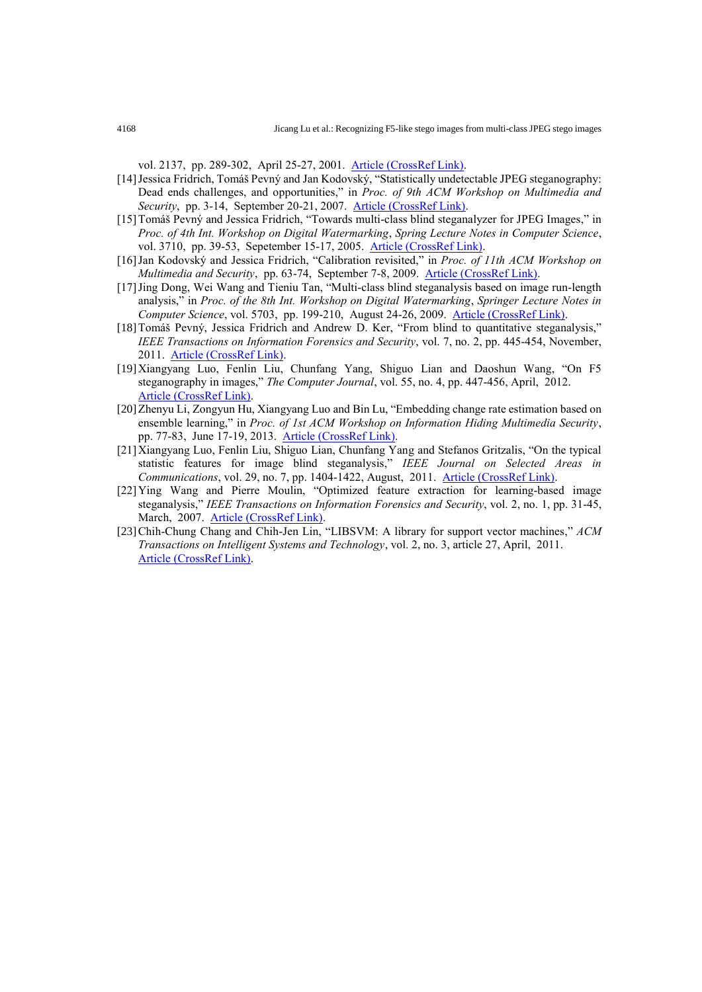vol. 2137, pp. 289-302, April 25-27, 2001. [Article \(CrossRef Link\).](http://dx.doi.org/doi:10.1007/3-540-45496-9_21)

- [14]Jessica Fridrich, Tomáš Pevný and Jan Kodovský, "Statistically undetectable JPEG steganography: Dead ends challenges, and opportunities," in *Proc. of 9th ACM Workshop on Multimedia and Security*, pp. 3-14, September 20-21, 2007. [Article \(CrossRef Link\).](http://dx.doi.org/doi:10.1145/1288869.1288872)
- [15]Tomáš Pevný and Jessica Fridrich, "Towards multi-class blind steganalyzer for JPEG Images," in *Proc. of 4th Int. Workshop on Digital Watermarking*, *Spring Lecture Notes in Computer Science*, vol. 3710, pp. 39-53, Sepetember 15-17, 2005. [Article \(CrossRef Link\).](http://dx.doi.org/doi:10.1007/11551492_4)
- [16]Jan Kodovský and Jessica Fridrich, "Calibration revisited," in *Proc. of 11th ACM Workshop on Multimedia and Security*, pp. 63-74, September 7-8, 2009. [Article \(CrossRef Link\).](http://dx.doi.org/doi:10.1145/1597817.1597830)
- [17]Jing Dong, Wei Wang and Tieniu Tan, "Multi-class blind steganalysis based on image run-length analysis," in *Proc. of the 8th Int. Workshop on Digital Watermarking*, *Springer Lecture Notes in Computer Science*, vol. 5703, pp. 199-210, August 24-26, 2009. [Article \(CrossRef Link\).](http://dx.doi.org/doi:10.1007/978-3-642-03688-0_19)
- [18]Tomáš Pevný, Jessica Fridrich and Andrew D. Ker, "From blind to quantitative steganalysis," *IEEE Transactions on Information Forensics and Security*, vol. 7, no. 2, pp. 445-454, November, 2011. [Article \(CrossRef Link\).](http://dx.doi.org/doi:10.1109/TIFS.2011.2175918)
- [19]Xiangyang Luo, Fenlin Liu, Chunfang Yang, Shiguo Lian and Daoshun Wang, "On F5 steganography in images," *The Computer Journal*, vol. 55, no. 4, pp. 447-456, April, 2012. [Article \(CrossRef Link\).](http://dx.doi.org/doi:10.1093/comjnl/bxr092)
- [20]Zhenyu Li, Zongyun Hu, Xiangyang Luo and Bin Lu, "Embedding change rate estimation based on ensemble learning," in *Proc. of 1st ACM Workshop on Information Hiding Multimedia Security*, pp. 77-83, June 17-19, 2013. [Article \(CrossRef Link\).](http://dx.doi.org/doi:10.1145/2482513.2482528)
- [21]Xiangyang Luo, Fenlin Liu, Shiguo Lian, Chunfang Yang and Stefanos Gritzalis, "On the typical statistic features for image blind steganalysis," *IEEE Journal on Selected Areas in Communications*, vol. 29, no. 7, pp. 1404-1422, August, 2011. [Article \(CrossRef Link\).](http://dx.doi.org/doi:10.1109/JSAC.2011.110807)
- [22]Ying Wang and Pierre Moulin, "Optimized feature extraction for learning-based image steganalysis," *IEEE Transactions on Information Forensics and Security*, vol. 2, no. 1, pp. 31-45, March, 2007. [Article \(CrossRef Link\).](http://dx.doi.org/doi:10.1109/TIFS.2006.890517)
- [23]Chih-Chung Chang and Chih-Jen Lin, "LIBSVM: A library for support vector machines," *ACM Transactions on Intelligent Systems and Technology*, vol. 2, no. 3, article 27, April, 2011. [Article \(CrossRef Link\).](http://dx.doi.org/doi:10.1145/1961189.1961199)